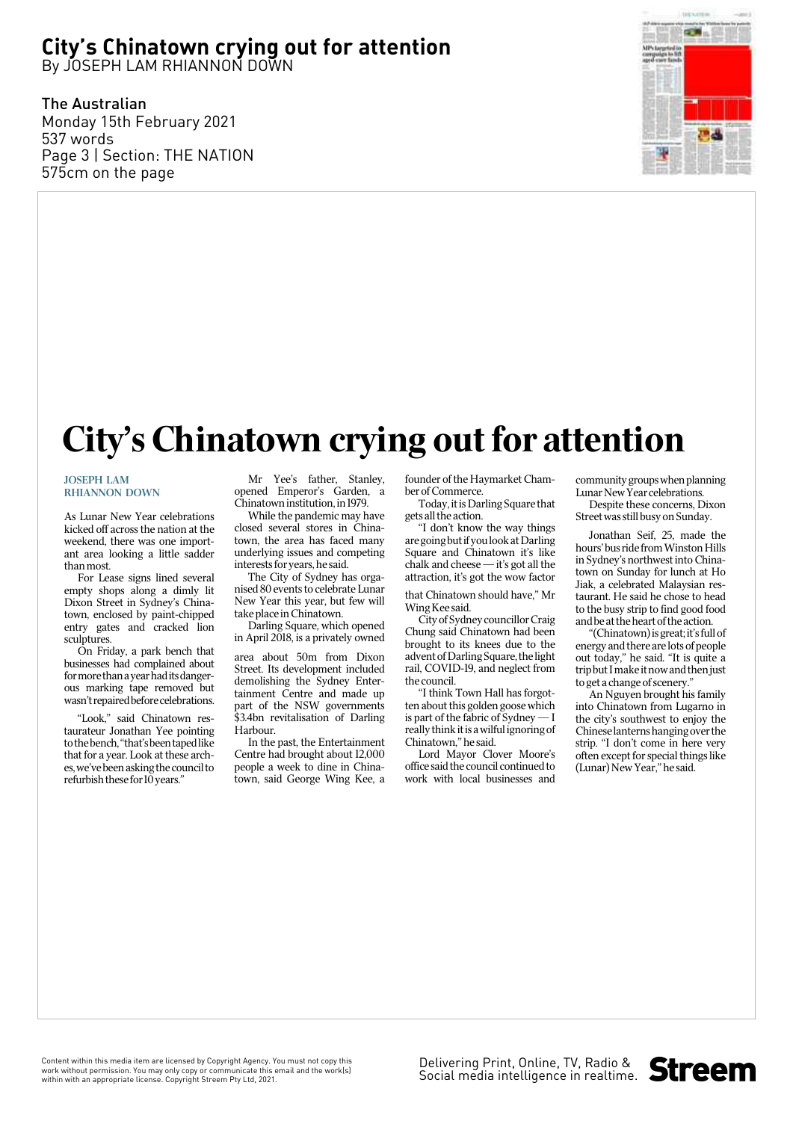## **City's Chinatown crying out for attention**

By JOSEPH LAM RHIANNON DOWN

The Australian Monday 15th February 2021 537 words Page 3 | Section: THE NATION 575cm on the page



## City's Chinatown crying out for attention

## JOSEPH LAM RHIANNON DOWN

As Lunar New Year celebrations kicked off across the nation at the weekend, there was one important area looking a little sadder than most.

For Lease signs lined several empty shops along a dimly lit Dixon Street in Sydney's Chinatown, enclosed by paint-chipped entry gates and cracked lion sculptures.

On Friday, a park bench that businesses had complained about for more than a year had its dangerous marking tape removed but wasn't repaired before celebrations.

"Look," said Chinatown restaurateur Jonathan Yee pointing to the bench, "that's been taped like that for a year. Look at these arches, we've been asking the council to refurbish these for  $10$  years."

Mr Yee's father, Stanley, opened Emperor's Garden, a Chinatown institution, in 1979.

While the pandemic may have closed several stores in Chinatown, the area has faced many underlying issues and competing interests for years, he said.

The City of Sydney has organised 80 events to celebrate Lunar New Year this year, but few will take place in Chinatown.

Darling Square, which opened in April 2018, is a privately owned

area about 50m from Dixon Street. Its development included demolishing the Sydney Entertainment Centre and made up part of the NSW governments \$3.4bn revitalisation of Darling Harbour.

In the past, the Entertainment Centre had brought about 12,000 people a week to dine in Chinatown, said George Wing Kee, a

founder of the Haymarket Chamber of Commerce.

Today, it is Darling Square that gets all the action.

"I don't know the way things are going but if you look at Darling Square and Chinatown it's like chalk and cheese — it's got all the attraction, it's got the wow factor

that Chinatown should have," Mr Wing Kee said.

City of Sydney councillor Craig Chung said Chinatown had been brought to its knees due to the advent of Darling Square, the light rail, COVID-19, and neglect from the council.

"I think Town Hall has forgotten about this golden goose which is part of the fabric of Sydney — I really think it is a wilful ignoring of Chinatown,'' he said.

Lord Mayor Clover Moore's office said the council continued to work with local businesses and

community groups when planning Lunar New Year celebrations.

Despite these concerns, Dixon Street was still busy on Sunday.

Jonathan Seif, 25, made the hours' bus ride from Winston Hills in Sydney's northwest into Chinatown on Sunday for lunch at Ho Jiak, a celebrated Malaysian restaurant. He said he chose to head to the busy strip to find good food and be at the heart of the action.

"(Chinatown) is great; it's full of energy and there are lots of people out today," he said. "It is quite a trip but I make it now and then just to get a change of scenery."

An Nguyen brought his family into Chinatown from Lugarno in the city's southwest to enjoy the Chinese lanterns hanging over the strip. "I don't come in here very often except for special things like (Lunar) New Year," he said.

Content within this media item are licensed by Copyright Agency. You must not copy this work without permission. You may only copy or communicate this email and the work(s) within with an appropriate license. Copyright Streem Pty Ltd, 2021.

Delivering Print, Online, TV, Radio & Social media intelligence in realtime.